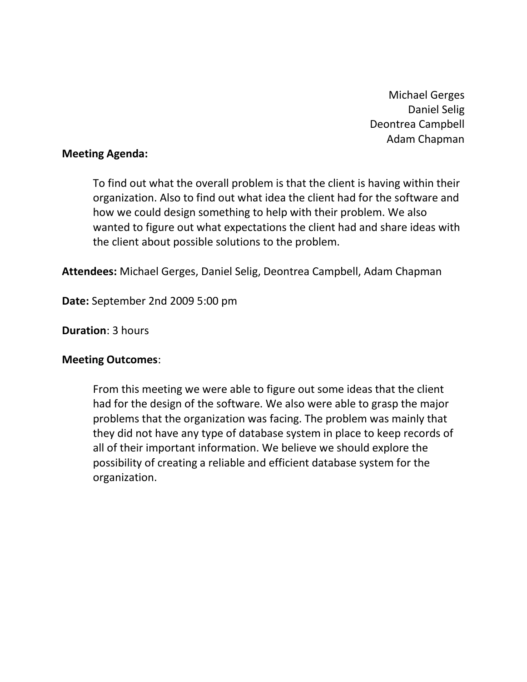Michael Gerges Daniel Selig Deontrea Campbell Adam Chapman

### **Meeting Agenda:**

To find out what the overall problem is that the client is having within their organization. Also to find out what idea the client had for the software and how we could design something to help with their problem. We also wanted to figure out what expectations the client had and share ideas with the client about possible solutions to the problem.

**Attendees:** Michael Gerges, Daniel Selig, Deontrea Campbell, Adam Chapman

**Date:** September 2nd 2009 5:00 pm

# **Duration**: 3 hours

# **Meeting Outcomes**:

From this meeting we were able to figure out some ideas that the client had for the design of the software. We also were able to grasp the major problems that the organization was facing. The problem was mainly that they did not have any type of database system in place to keep records of all of their important information. We believe we should explore the possibility of creating a reliable and efficient database system for the organization.